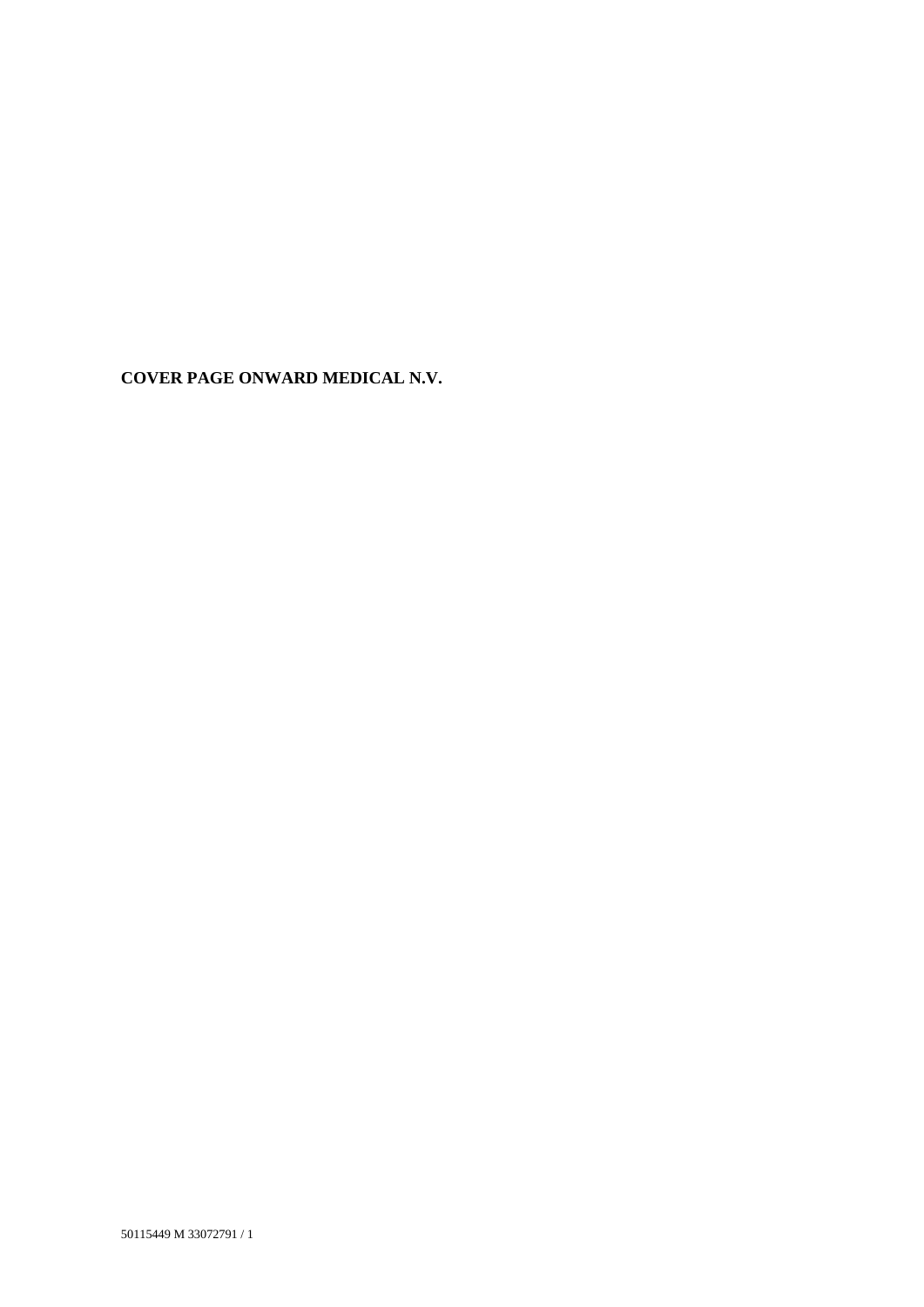**COVER PAGE ONWARD MEDICAL N.V.**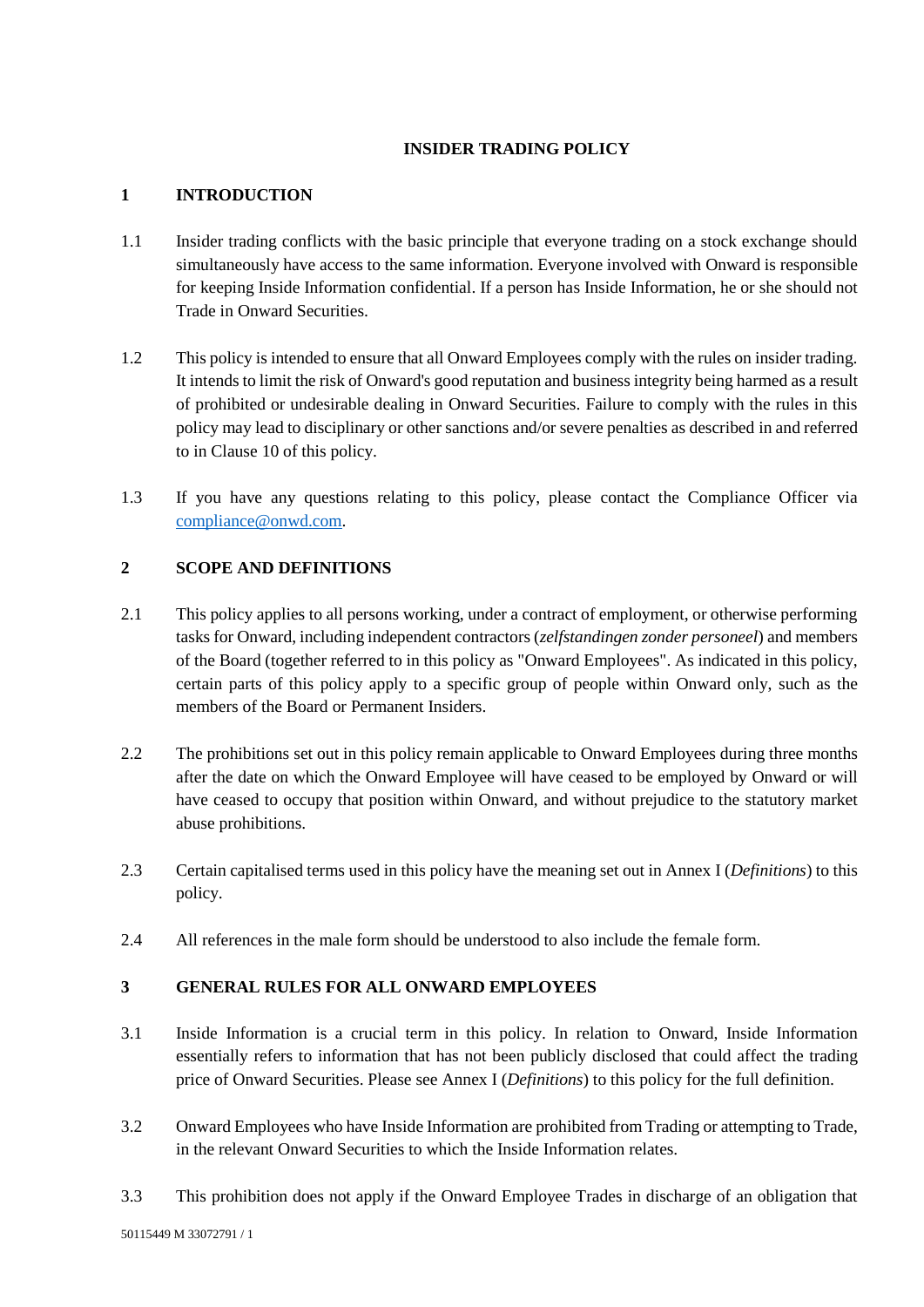## **INSIDER TRADING POLICY**

### **1 INTRODUCTION**

- 1.1 Insider trading conflicts with the basic principle that everyone trading on a stock exchange should simultaneously have access to the same information. Everyone involved with Onward is responsible for keeping Inside Information confidential. If a person has Inside Information, he or she should not Trade in Onward Securities.
- 1.2 This policy is intended to ensure that all Onward Employees comply with the rules on insider trading. It intends to limit the risk of Onward's good reputation and business integrity being harmed as a result of prohibited or undesirable dealing in Onward Securities. Failure to comply with the rules in this policy may lead to disciplinary or other sanctions and/or severe penalties as described in and referred to in Claus[e 10](#page-6-0) of this policy.
- 1.3 If you have any questions relating to this policy, please contact the Compliance Officer via [compliance@onwd.com.](mailto:compliance@onwd.com)

## **2 SCOPE AND DEFINITIONS**

- 2.1 This policy applies to all persons working, under a contract of employment, or otherwise performing tasks for Onward, including independent contractors (*zelfstandingen zonder personeel*) and members of the Board (together referred to in this policy as "Onward Employees". As indicated in this policy, certain parts of this policy apply to a specific group of people within Onward only, such as the members of the Board or Permanent Insiders.
- 2.2 The prohibitions set out in this policy remain applicable to Onward Employees during three months after the date on which the Onward Employee will have ceased to be employed by Onward or will have ceased to occupy that position within Onward, and without prejudice to the statutory market abuse prohibitions.
- 2.3 Certain capitalised terms used in this policy have the meaning set out in Annex I (*Definitions*) to this policy.
- 2.4 All references in the male form should be understood to also include the female form.

#### **3 GENERAL RULES FOR ALL ONWARD EMPLOYEES**

- 3.1 Inside Information is a crucial term in this policy. In relation to Onward, Inside Information essentially refers to information that has not been publicly disclosed that could affect the trading price of Onward Securities. Please see Annex I (*Definitions*) to this policy for the full definition.
- <span id="page-1-0"></span>3.2 Onward Employees who have Inside Information are prohibited from Trading or attempting to Trade, in the relevant Onward Securities to which the Inside Information relates.
- 3.3 This prohibition does not apply if the Onward Employee Trades in discharge of an obligation that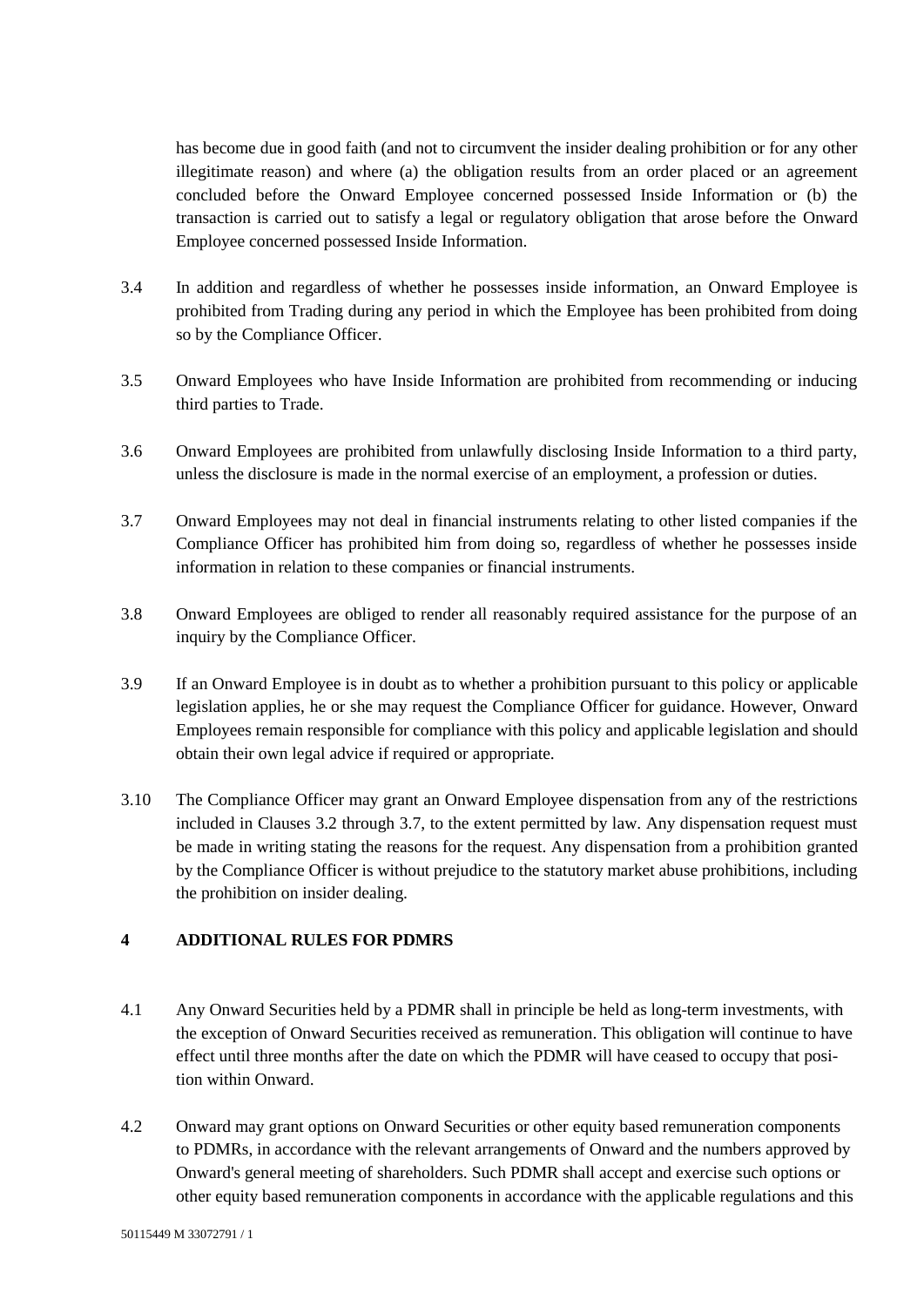has become due in good faith (and not to circumvent the insider dealing prohibition or for any other illegitimate reason) and where (a) the obligation results from an order placed or an agreement concluded before the Onward Employee concerned possessed Inside Information or (b) the transaction is carried out to satisfy a legal or regulatory obligation that arose before the Onward Employee concerned possessed Inside Information.

- 3.4 In addition and regardless of whether he possesses inside information, an Onward Employee is prohibited from Trading during any period in which the Employee has been prohibited from doing so by the Compliance Officer.
- 3.5 Onward Employees who have Inside Information are prohibited from recommending or inducing third parties to Trade.
- 3.6 Onward Employees are prohibited from unlawfully disclosing Inside Information to a third party, unless the disclosure is made in the normal exercise of an employment, a profession or duties.
- <span id="page-2-0"></span>3.7 Onward Employees may not deal in financial instruments relating to other listed companies if the Compliance Officer has prohibited him from doing so, regardless of whether he possesses inside information in relation to these companies or financial instruments.
- 3.8 Onward Employees are obliged to render all reasonably required assistance for the purpose of an inquiry by the Compliance Officer.
- 3.9 If an Onward Employee is in doubt as to whether a prohibition pursuant to this policy or applicable legislation applies, he or she may request the Compliance Officer for guidance. However, Onward Employees remain responsible for compliance with this policy and applicable legislation and should obtain their own legal advice if required or appropriate.
- 3.10 The Compliance Officer may grant an Onward Employee dispensation from any of the restrictions included in Clauses [3.2](#page-1-0) through [3.7,](#page-2-0) to the extent permitted by law. Any dispensation request must be made in writing stating the reasons for the request. Any dispensation from a prohibition granted by the Compliance Officer is without prejudice to the statutory market abuse prohibitions, including the prohibition on insider dealing.

#### **4 ADDITIONAL RULES FOR PDMRS**

- 4.1 Any Onward Securities held by a PDMR shall in principle be held as long-term investments, with the exception of Onward Securities received as remuneration. This obligation will continue to have effect until three months after the date on which the PDMR will have ceased to occupy that position within Onward.
- 4.2 Onward may grant options on Onward Securities or other equity based remuneration components to PDMRs, in accordance with the relevant arrangements of Onward and the numbers approved by Onward's general meeting of shareholders. Such PDMR shall accept and exercise such options or other equity based remuneration components in accordance with the applicable regulations and this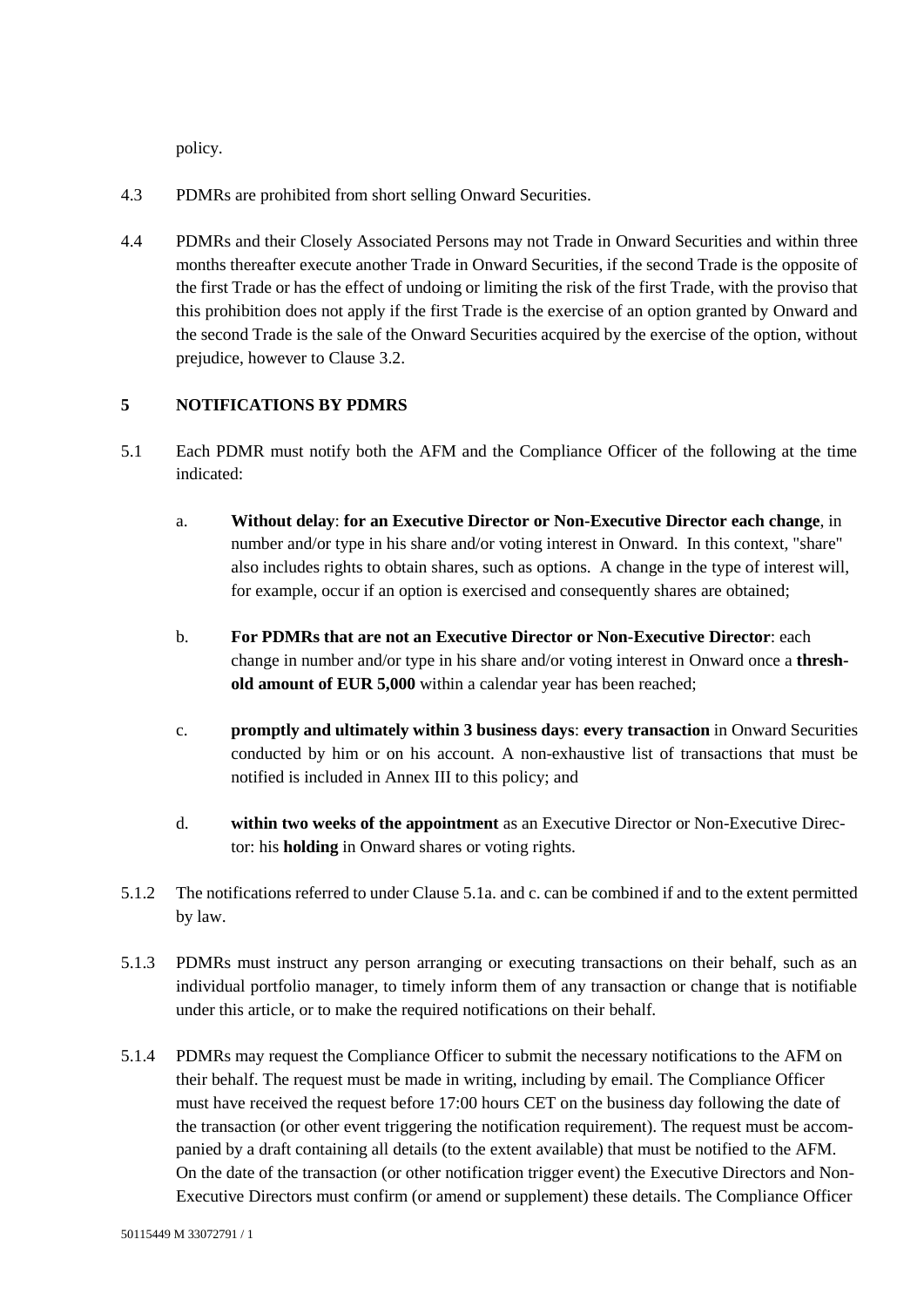policy.

- 4.3 PDMRs are prohibited from short selling Onward Securities.
- 4.4 PDMRs and their Closely Associated Persons may not Trade in Onward Securities and within three months thereafter execute another Trade in Onward Securities, if the second Trade is the opposite of the first Trade or has the effect of undoing or limiting the risk of the first Trade, with the proviso that this prohibition does not apply if the first Trade is the exercise of an option granted by Onward and the second Trade is the sale of the Onward Securities acquired by the exercise of the option, without prejudice, however to Clause [3.2.](#page-1-0)

## **5 NOTIFICATIONS BY PDMRS**

- <span id="page-3-0"></span>5.1 Each PDMR must notify both the AFM and the Compliance Officer of the following at the time indicated:
	- a. **Without delay**: **for an Executive Director or Non-Executive Director each change**, in number and/or type in his share and/or voting interest in Onward. In this context, "share" also includes rights to obtain shares, such as options. A change in the type of interest will, for example, occur if an option is exercised and consequently shares are obtained;
	- b. **For PDMRs that are not an Executive Director or Non-Executive Director**: each change in number and/or type in his share and/or voting interest in Onward once a **threshold amount of EUR 5,000** within a calendar year has been reached;
	- c. **promptly and ultimately within 3 business days**: **every transaction** in Onward Securities conducted by him or on his account. A non-exhaustive list of transactions that must be notified is included in Annex III to this policy; and
	- d. **within two weeks of the appointment** as an Executive Director or Non-Executive Director: his **holding** in Onward shares or voting rights.
- <span id="page-3-1"></span>5.1.2 The notifications referred to under Claus[e 5.1a.](#page-3-0) an[d c.](#page-3-1) can be combined if and to the extent permitted by law.
- 5.1.3 PDMRs must instruct any person arranging or executing transactions on their behalf, such as an individual portfolio manager, to timely inform them of any transaction or change that is notifiable under this article, or to make the required notifications on their behalf.
- 5.1.4 PDMRs may request the Compliance Officer to submit the necessary notifications to the AFM on their behalf. The request must be made in writing, including by email. The Compliance Officer must have received the request before 17:00 hours CET on the business day following the date of the transaction (or other event triggering the notification requirement). The request must be accompanied by a draft containing all details (to the extent available) that must be notified to the AFM. On the date of the transaction (or other notification trigger event) the Executive Directors and Non-Executive Directors must confirm (or amend or supplement) these details. The Compliance Officer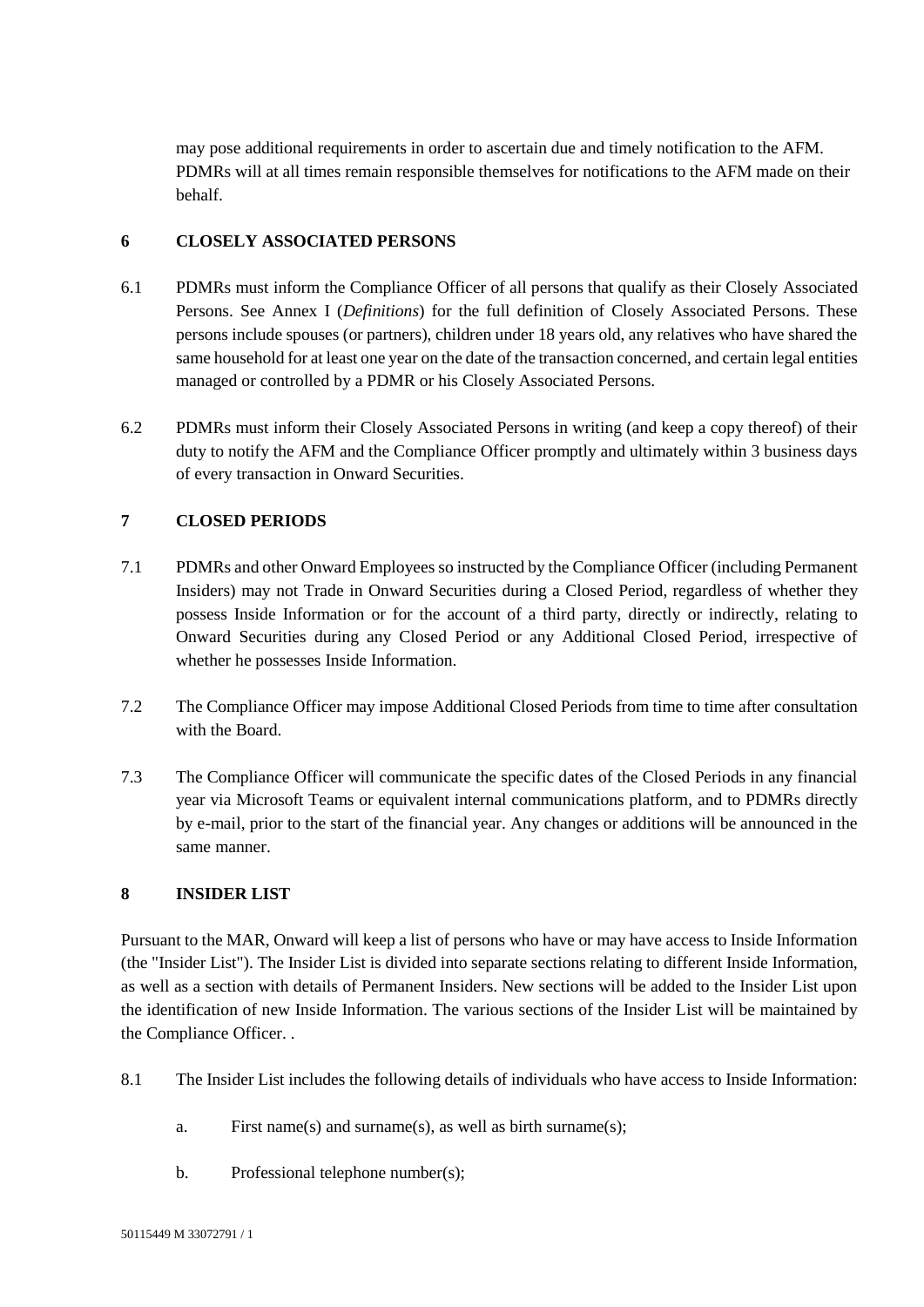may pose additional requirements in order to ascertain due and timely notification to the AFM. PDMRs will at all times remain responsible themselves for notifications to the AFM made on their behalf.

#### **6 CLOSELY ASSOCIATED PERSONS**

- 6.1 PDMRs must inform the Compliance Officer of all persons that qualify as their Closely Associated Persons. See Annex I (*Definitions*) for the full definition of Closely Associated Persons. These persons include spouses (or partners), children under 18 years old, any relatives who have shared the same household for at least one year on the date of the transaction concerned, and certain legal entities managed or controlled by a PDMR or his Closely Associated Persons.
- 6.2 PDMRs must inform their Closely Associated Persons in writing (and keep a copy thereof) of their duty to notify the AFM and the Compliance Officer promptly and ultimately within 3 business days of every transaction in Onward Securities.

## **7 CLOSED PERIODS**

- 7.1 PDMRs and other Onward Employees so instructed by the Compliance Officer (including Permanent Insiders) may not Trade in Onward Securities during a Closed Period, regardless of whether they possess Inside Information or for the account of a third party, directly or indirectly, relating to Onward Securities during any Closed Period or any Additional Closed Period, irrespective of whether he possesses Inside Information.
- <span id="page-4-0"></span>7.2 The Compliance Officer may impose Additional Closed Periods from time to time after consultation with the Board.
- 7.3 The Compliance Officer will communicate the specific dates of the Closed Periods in any financial year via Microsoft Teams or equivalent internal communications platform, and to PDMRs directly by e-mail, prior to the start of the financial year. Any changes or additions will be announced in the same manner.

#### **8 INSIDER LIST**

Pursuant to the MAR, Onward will keep a list of persons who have or may have access to Inside Information (the "Insider List"). The Insider List is divided into separate sections relating to different Inside Information, as well as a section with details of Permanent Insiders. New sections will be added to the Insider List upon the identification of new Inside Information. The various sections of the Insider List will be maintained by the Compliance Officer. .

- 8.1 The Insider List includes the following details of individuals who have access to Inside Information:
	- a. First name(s) and surname(s), as well as birth surname(s);
	- b. Professional telephone number(s);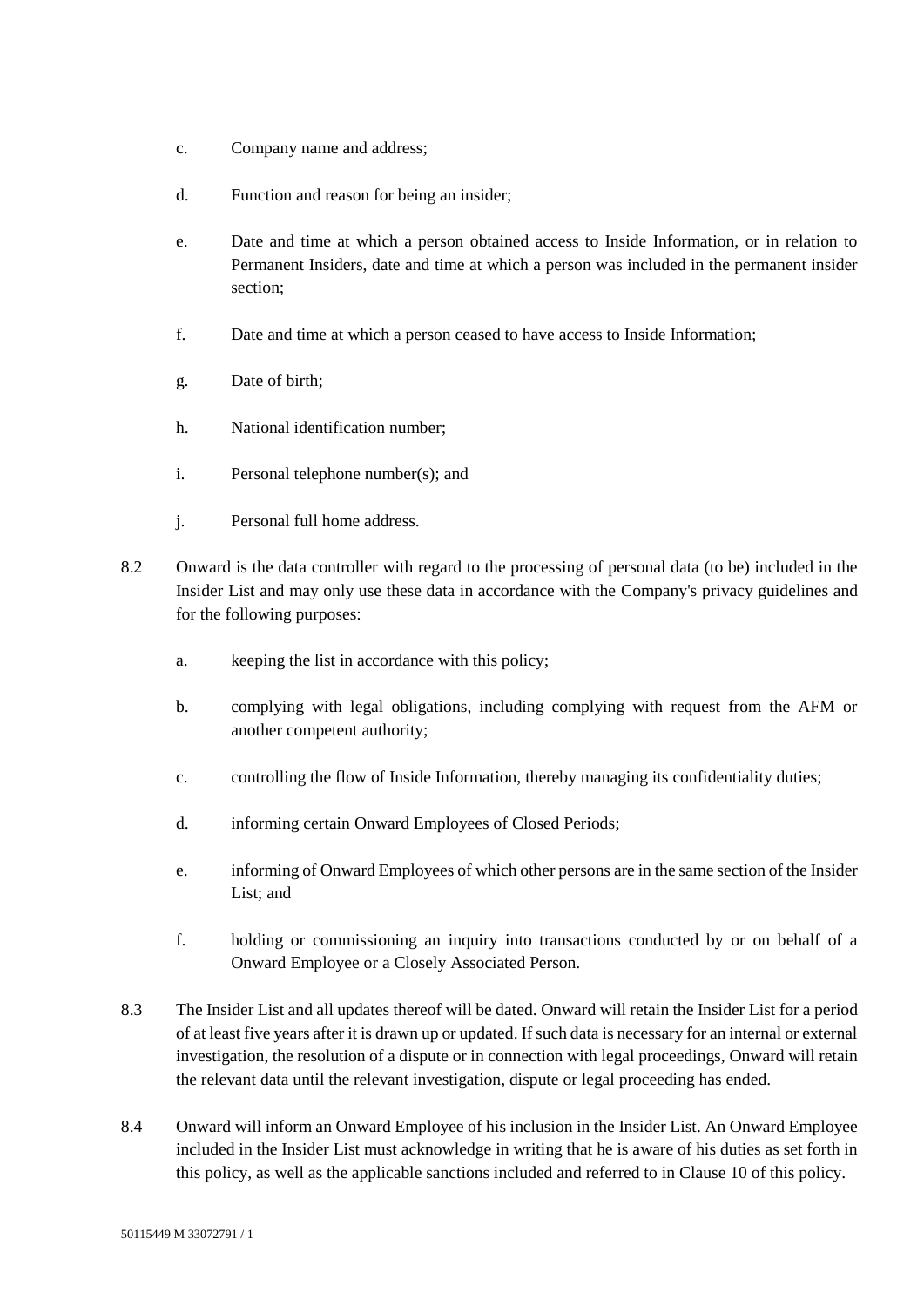- c. Company name and address;
- d. Function and reason for being an insider;
- e. Date and time at which a person obtained access to Inside Information, or in relation to Permanent Insiders, date and time at which a person was included in the permanent insider section;
- f. Date and time at which a person ceased to have access to Inside Information;
- g. Date of birth;
- h. National identification number;
- i. Personal telephone number(s); and
- j. Personal full home address.
- 8.2 Onward is the data controller with regard to the processing of personal data (to be) included in the Insider List and may only use these data in accordance with the Company's privacy guidelines and for the following purposes:
	- a. keeping the list in accordance with this policy;
	- b. complying with legal obligations, including complying with request from the AFM or another competent authority;
	- c. controlling the flow of Inside Information, thereby managing its confidentiality duties;
	- d. informing certain Onward Employees of Closed Periods;
	- e. informing of Onward Employees of which other persons are in the same section of the Insider List; and
	- f. holding or commissioning an inquiry into transactions conducted by or on behalf of a Onward Employee or a Closely Associated Person.
- 8.3 The Insider List and all updates thereof will be dated. Onward will retain the Insider List for a period of at least five years after it is drawn up or updated. If such data is necessary for an internal or external investigation, the resolution of a dispute or in connection with legal proceedings, Onward will retain the relevant data until the relevant investigation, dispute or legal proceeding has ended.
- 8.4 Onward will inform an Onward Employee of his inclusion in the Insider List. An Onward Employee included in the Insider List must acknowledge in writing that he is aware of his duties as set forth in this policy, as well as the applicable sanctions included and referred to in Clause [10](#page-6-0) of this policy.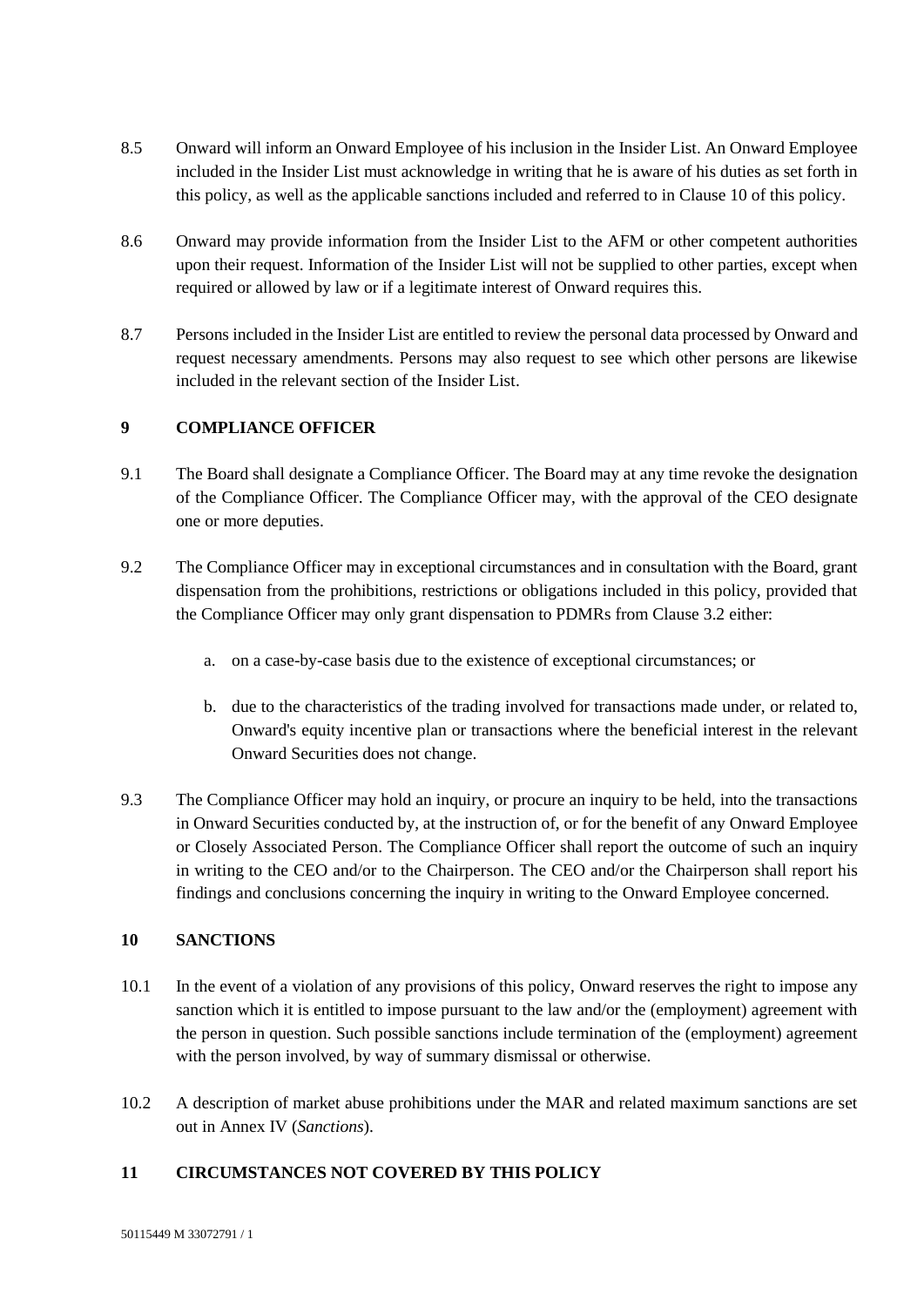- 8.5 Onward will inform an Onward Employee of his inclusion in the Insider List. An Onward Employee included in the Insider List must acknowledge in writing that he is aware of his duties as set forth in this policy, as well as the applicable sanctions included and referred to in Clause [10](#page-6-0) of this policy.
- 8.6 Onward may provide information from the Insider List to the AFM or other competent authorities upon their request. Information of the Insider List will not be supplied to other parties, except when required or allowed by law or if a legitimate interest of Onward requires this.
- 8.7 Persons included in the Insider List are entitled to review the personal data processed by Onward and request necessary amendments. Persons may also request to see which other persons are likewise included in the relevant section of the Insider List.

#### **9 COMPLIANCE OFFICER**

- 9.1 The Board shall designate a Compliance Officer. The Board may at any time revoke the designation of the Compliance Officer. The Compliance Officer may, with the approval of the CEO designate one or more deputies.
- 9.2 The Compliance Officer may in exceptional circumstances and in consultation with the Board, grant dispensation from the prohibitions, restrictions or obligations included in this policy, provided that the Compliance Officer may only grant dispensation to PDMRs from Clause [3.2](#page-1-0) either:
	- a. on a case-by-case basis due to the existence of exceptional circumstances; or
	- b. due to the characteristics of the trading involved for transactions made under, or related to, Onward's equity incentive plan or transactions where the beneficial interest in the relevant Onward Securities does not change.
- 9.3 The Compliance Officer may hold an inquiry, or procure an inquiry to be held, into the transactions in Onward Securities conducted by, at the instruction of, or for the benefit of any Onward Employee or Closely Associated Person. The Compliance Officer shall report the outcome of such an inquiry in writing to the CEO and/or to the Chairperson. The CEO and/or the Chairperson shall report his findings and conclusions concerning the inquiry in writing to the Onward Employee concerned.

#### <span id="page-6-0"></span>**10 SANCTIONS**

- 10.1 In the event of a violation of any provisions of this policy, Onward reserves the right to impose any sanction which it is entitled to impose pursuant to the law and/or the (employment) agreement with the person in question. Such possible sanctions include termination of the (employment) agreement with the person involved, by way of summary dismissal or otherwise.
- 10.2 A description of market abuse prohibitions under the MAR and related maximum sanctions are set out in Annex IV (*Sanctions*).

#### **11 CIRCUMSTANCES NOT COVERED BY THIS POLICY**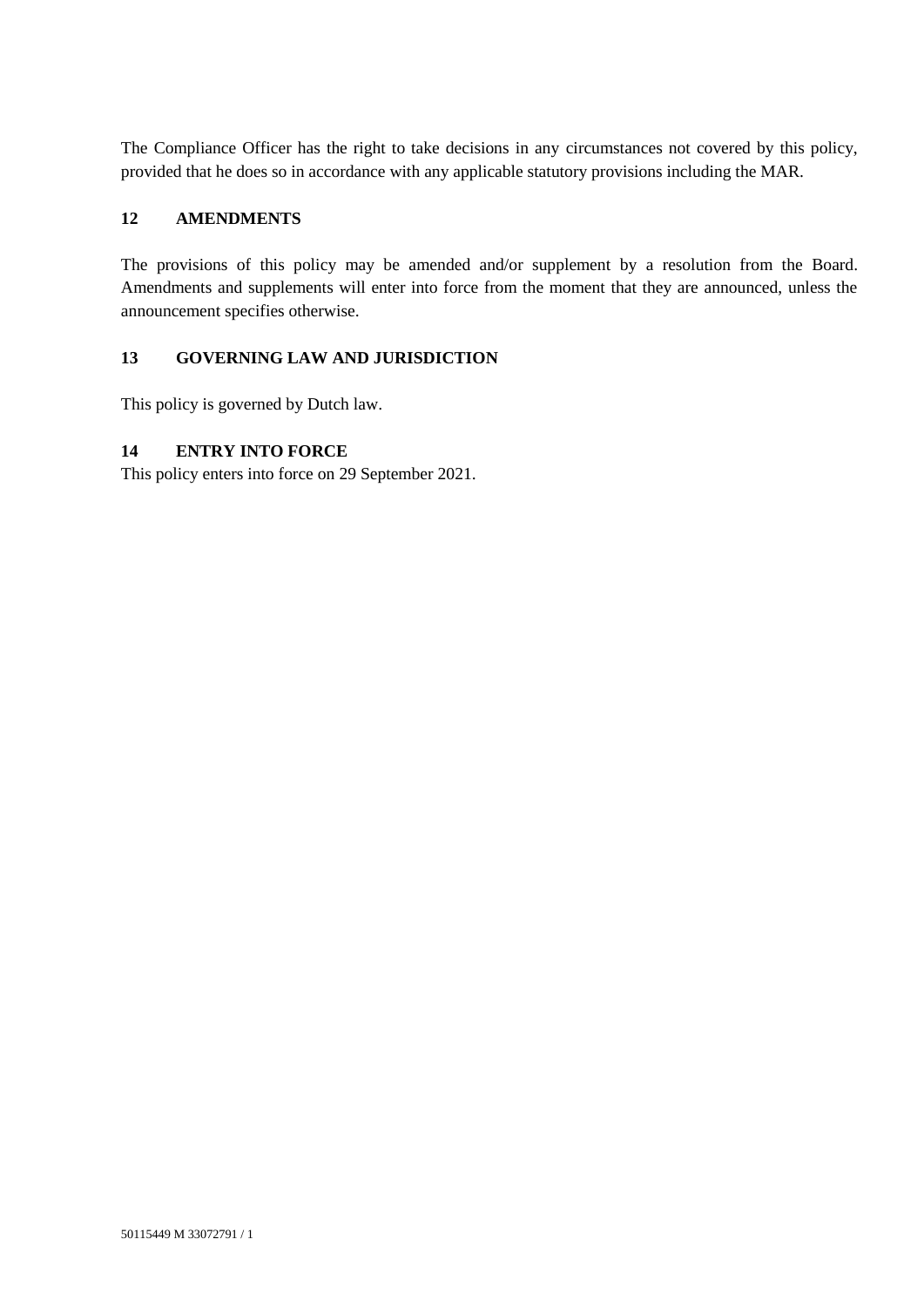The Compliance Officer has the right to take decisions in any circumstances not covered by this policy, provided that he does so in accordance with any applicable statutory provisions including the MAR.

#### **12 AMENDMENTS**

The provisions of this policy may be amended and/or supplement by a resolution from the Board. Amendments and supplements will enter into force from the moment that they are announced, unless the announcement specifies otherwise.

#### **13 GOVERNING LAW AND JURISDICTION**

This policy is governed by Dutch law.

## **14 ENTRY INTO FORCE**

This policy enters into force on 29 September 2021.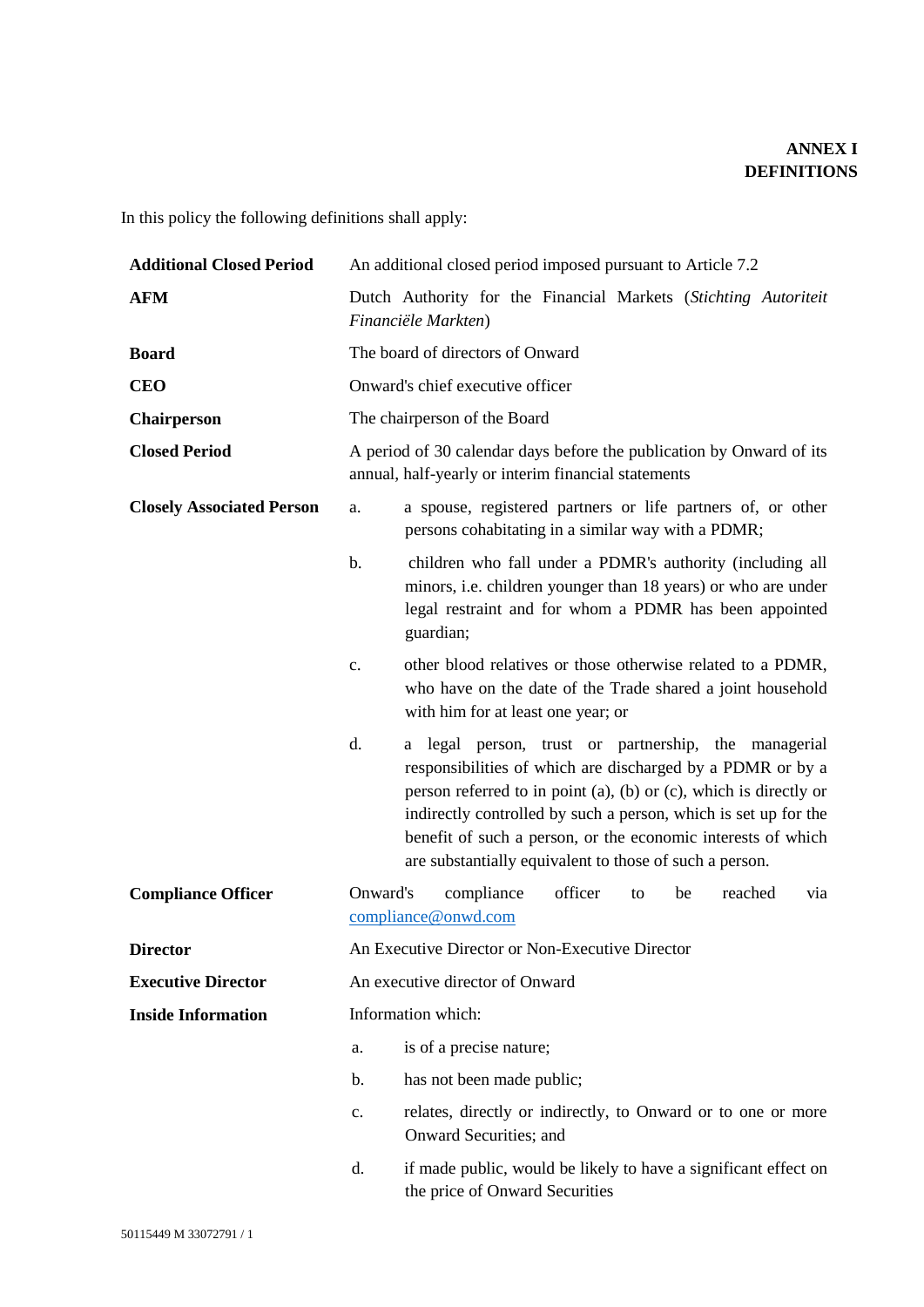# **ANNEX I DEFINITIONS**

In this policy the following definitions shall apply:

| <b>Additional Closed Period</b>  | An additional closed period imposed pursuant to Article 7.2                                                                                                                                                                                                                                                                                                                                         |  |  |
|----------------------------------|-----------------------------------------------------------------------------------------------------------------------------------------------------------------------------------------------------------------------------------------------------------------------------------------------------------------------------------------------------------------------------------------------------|--|--|
| <b>AFM</b>                       | Dutch Authority for the Financial Markets (Stichting Autoriteit<br>Financiële Markten)                                                                                                                                                                                                                                                                                                              |  |  |
| <b>Board</b>                     | The board of directors of Onward                                                                                                                                                                                                                                                                                                                                                                    |  |  |
| <b>CEO</b>                       | Onward's chief executive officer                                                                                                                                                                                                                                                                                                                                                                    |  |  |
| <b>Chairperson</b>               | The chairperson of the Board                                                                                                                                                                                                                                                                                                                                                                        |  |  |
| <b>Closed Period</b>             | A period of 30 calendar days before the publication by Onward of its<br>annual, half-yearly or interim financial statements                                                                                                                                                                                                                                                                         |  |  |
| <b>Closely Associated Person</b> | a spouse, registered partners or life partners of, or other<br>a.<br>persons cohabitating in a similar way with a PDMR;                                                                                                                                                                                                                                                                             |  |  |
|                                  | children who fall under a PDMR's authority (including all<br>minors, i.e. children younger than 18 years) or who are under<br>legal restraint and for whom a PDMR has been appointed<br>guardian;                                                                                                                                                                                                   |  |  |
|                                  | other blood relatives or those otherwise related to a PDMR,<br>c.<br>who have on the date of the Trade shared a joint household<br>with him for at least one year; or                                                                                                                                                                                                                               |  |  |
|                                  | d.<br>a legal person, trust or partnership, the managerial<br>responsibilities of which are discharged by a PDMR or by a<br>person referred to in point $(a)$ , $(b)$ or $(c)$ , which is directly or<br>indirectly controlled by such a person, which is set up for the<br>benefit of such a person, or the economic interests of which<br>are substantially equivalent to those of such a person. |  |  |
| <b>Compliance Officer</b>        | Onward's<br>compliance<br>officer<br>reached<br>be<br>via<br>to<br>compliance@onwd.com                                                                                                                                                                                                                                                                                                              |  |  |
| <b>Director</b>                  | An Executive Director or Non-Executive Director                                                                                                                                                                                                                                                                                                                                                     |  |  |
| <b>Executive Director</b>        | An executive director of Onward                                                                                                                                                                                                                                                                                                                                                                     |  |  |
| <b>Inside Information</b>        | Information which:                                                                                                                                                                                                                                                                                                                                                                                  |  |  |
|                                  | is of a precise nature;<br>a.                                                                                                                                                                                                                                                                                                                                                                       |  |  |
|                                  |                                                                                                                                                                                                                                                                                                                                                                                                     |  |  |
|                                  | has not been made public;<br>b.                                                                                                                                                                                                                                                                                                                                                                     |  |  |
|                                  | relates, directly or indirectly, to Onward or to one or more<br>c.<br>Onward Securities; and                                                                                                                                                                                                                                                                                                        |  |  |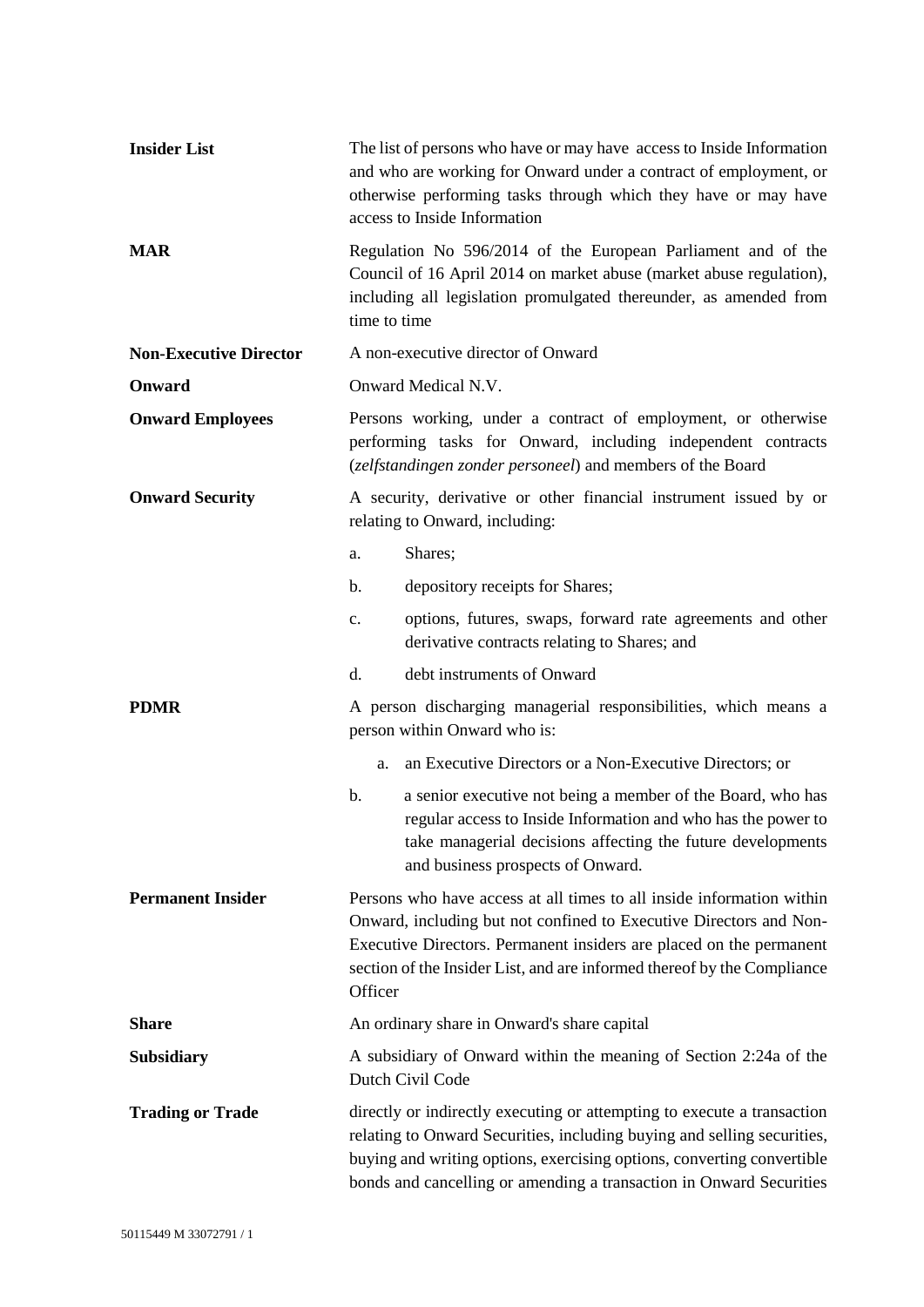| <b>Insider List</b>           | The list of persons who have or may have access to Inside Information<br>and who are working for Onward under a contract of employment, or<br>otherwise performing tasks through which they have or may have<br>access to Inside Information                                                             |  |
|-------------------------------|----------------------------------------------------------------------------------------------------------------------------------------------------------------------------------------------------------------------------------------------------------------------------------------------------------|--|
| <b>MAR</b>                    | Regulation No 596/2014 of the European Parliament and of the<br>Council of 16 April 2014 on market abuse (market abuse regulation),<br>including all legislation promulgated thereunder, as amended from<br>time to time                                                                                 |  |
| <b>Non-Executive Director</b> | A non-executive director of Onward                                                                                                                                                                                                                                                                       |  |
| Onward                        | Onward Medical N.V.                                                                                                                                                                                                                                                                                      |  |
| <b>Onward Employees</b>       | Persons working, under a contract of employment, or otherwise<br>performing tasks for Onward, including independent contracts<br>(zelfstandingen zonder personeel) and members of the Board                                                                                                              |  |
| <b>Onward Security</b>        | A security, derivative or other financial instrument issued by or<br>relating to Onward, including:                                                                                                                                                                                                      |  |
|                               | Shares;<br>a.                                                                                                                                                                                                                                                                                            |  |
|                               | depository receipts for Shares;<br>b.                                                                                                                                                                                                                                                                    |  |
|                               | options, futures, swaps, forward rate agreements and other<br>$\mathbf{c}$ .<br>derivative contracts relating to Shares; and                                                                                                                                                                             |  |
|                               | d.<br>debt instruments of Onward                                                                                                                                                                                                                                                                         |  |
| <b>PDMR</b>                   | A person discharging managerial responsibilities, which means a<br>person within Onward who is:                                                                                                                                                                                                          |  |
|                               | an Executive Directors or a Non-Executive Directors; or<br>a.                                                                                                                                                                                                                                            |  |
|                               | b.<br>a senior executive not being a member of the Board, who has<br>regular access to Inside Information and who has the power to<br>take managerial decisions affecting the future developments<br>and business prospects of Onward.                                                                   |  |
| <b>Permanent Insider</b>      | Persons who have access at all times to all inside information within<br>Onward, including but not confined to Executive Directors and Non-<br>Executive Directors. Permanent insiders are placed on the permanent<br>section of the Insider List, and are informed thereof by the Compliance<br>Officer |  |
| <b>Share</b>                  | An ordinary share in Onward's share capital                                                                                                                                                                                                                                                              |  |
| <b>Subsidiary</b>             | A subsidiary of Onward within the meaning of Section 2:24a of the<br>Dutch Civil Code                                                                                                                                                                                                                    |  |
| <b>Trading or Trade</b>       | directly or indirectly executing or attempting to execute a transaction<br>relating to Onward Securities, including buying and selling securities,<br>buying and writing options, exercising options, converting convertible<br>bonds and cancelling or amending a transaction in Onward Securities      |  |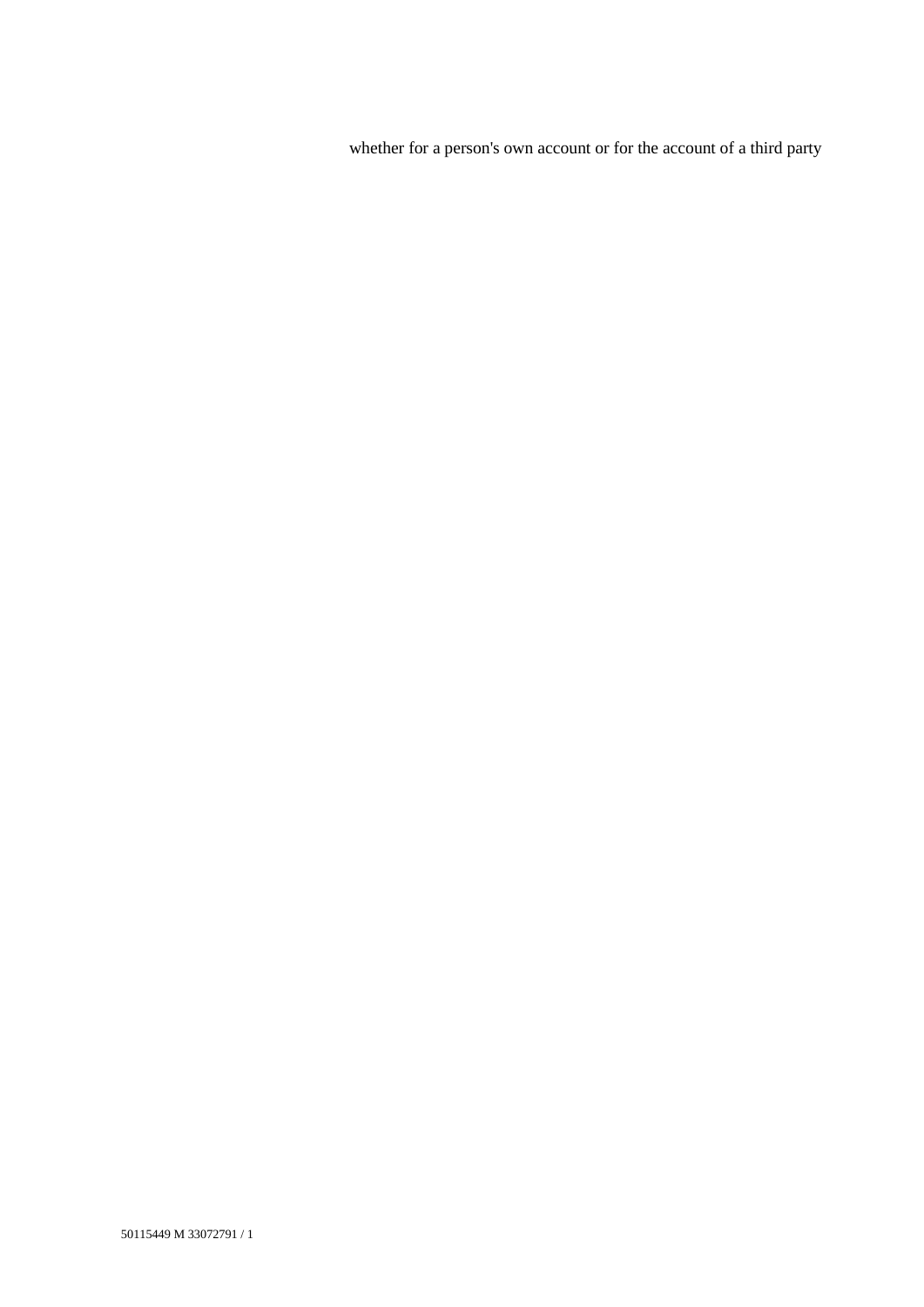whether for a person's own account or for the account of a third party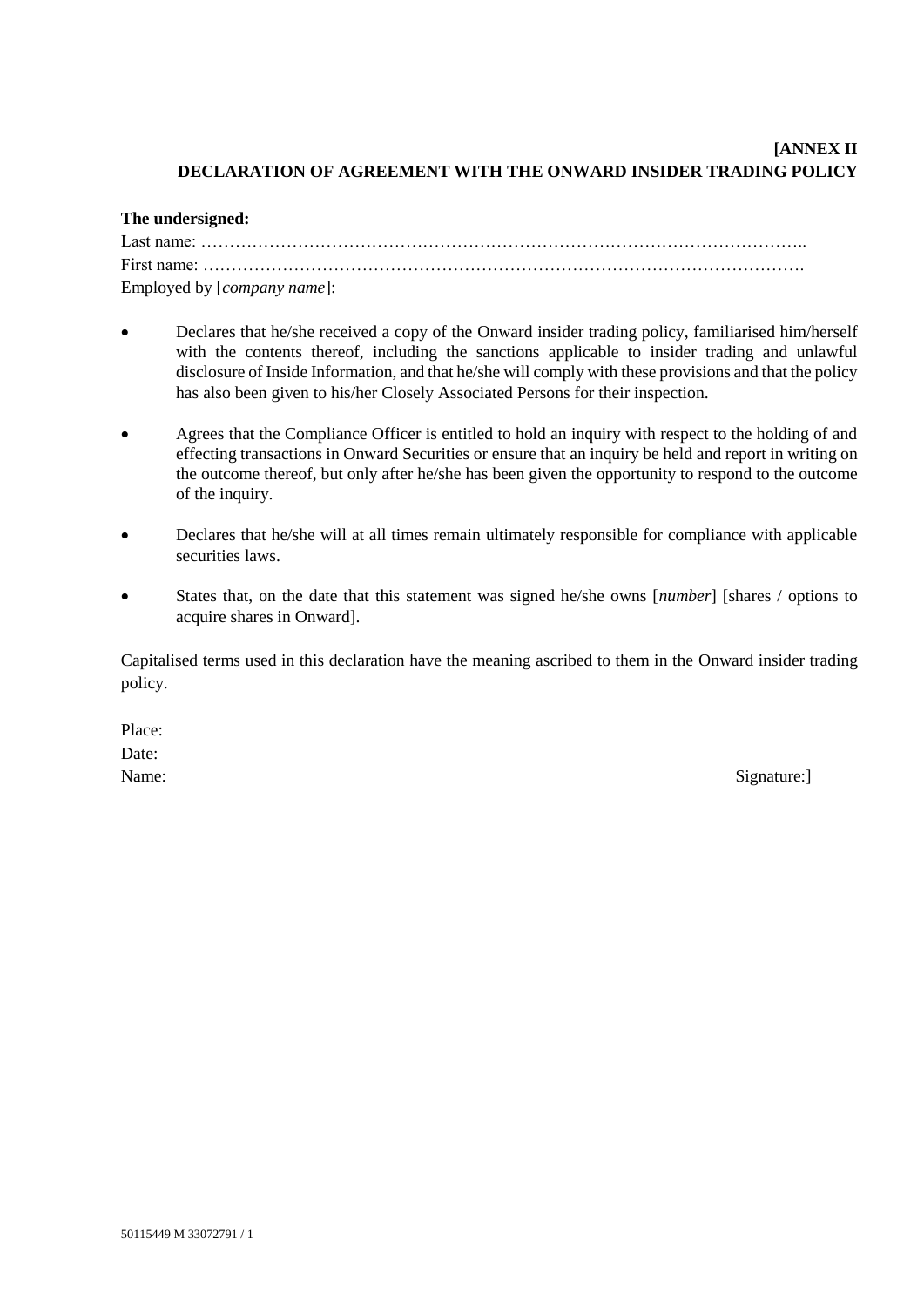## **[ANNEX II DECLARATION OF AGREEMENT WITH THE ONWARD INSIDER TRADING POLICY**

#### **The undersigned:**

| Last name: $\ldots$ $\ldots$ $\ldots$ $\ldots$ $\ldots$ $\ldots$ $\ldots$ $\ldots$ $\ldots$ $\ldots$ $\ldots$ $\ldots$ $\ldots$ $\ldots$ $\ldots$ |  |  |
|---------------------------------------------------------------------------------------------------------------------------------------------------|--|--|
|                                                                                                                                                   |  |  |
| Employed by [company name]:                                                                                                                       |  |  |

- Declares that he/she received a copy of the Onward insider trading policy, familiarised him/herself with the contents thereof, including the sanctions applicable to insider trading and unlawful disclosure of Inside Information, and that he/she will comply with these provisions and that the policy has also been given to his/her Closely Associated Persons for their inspection.
- Agrees that the Compliance Officer is entitled to hold an inquiry with respect to the holding of and effecting transactions in Onward Securities or ensure that an inquiry be held and report in writing on the outcome thereof, but only after he/she has been given the opportunity to respond to the outcome of the inquiry.
- Declares that he/she will at all times remain ultimately responsible for compliance with applicable securities laws.
- States that, on the date that this statement was signed he/she owns [*number*] [shares / options to acquire shares in Onward].

Capitalised terms used in this declaration have the meaning ascribed to them in the Onward insider trading policy.

Place: Date:

Name: Signature: Signature: 1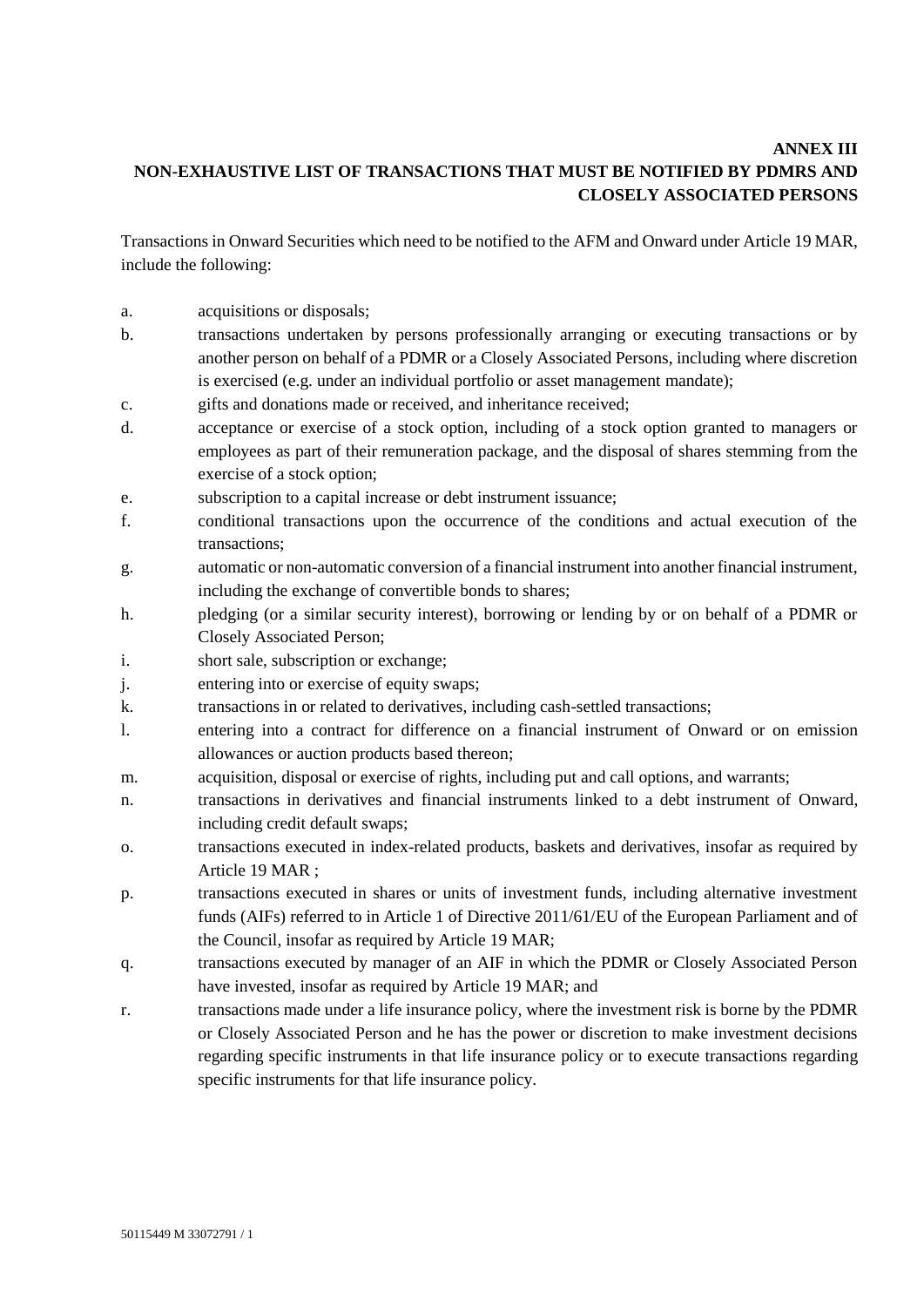# **ANNEX III NON-EXHAUSTIVE LIST OF TRANSACTIONS THAT MUST BE NOTIFIED BY PDMRS AND CLOSELY ASSOCIATED PERSONS**

Transactions in Onward Securities which need to be notified to the AFM and Onward under Article 19 MAR, include the following:

- a. acquisitions or disposals;
- b. transactions undertaken by persons professionally arranging or executing transactions or by another person on behalf of a PDMR or a Closely Associated Persons, including where discretion is exercised (e.g. under an individual portfolio or asset management mandate);
- c. gifts and donations made or received, and inheritance received;
- d. acceptance or exercise of a stock option, including of a stock option granted to managers or employees as part of their remuneration package, and the disposal of shares stemming from the exercise of a stock option;
- e. subscription to a capital increase or debt instrument issuance;
- f. conditional transactions upon the occurrence of the conditions and actual execution of the transactions;
- g. automatic or non-automatic conversion of a financial instrument into another financial instrument, including the exchange of convertible bonds to shares;
- h. pledging (or a similar security interest), borrowing or lending by or on behalf of a PDMR or Closely Associated Person;
- i. short sale, subscription or exchange;
- j. entering into or exercise of equity swaps;
- k. transactions in or related to derivatives, including cash-settled transactions;
- l. entering into a contract for difference on a financial instrument of Onward or on emission allowances or auction products based thereon;
- m. acquisition, disposal or exercise of rights, including put and call options, and warrants;
- n. transactions in derivatives and financial instruments linked to a debt instrument of Onward, including credit default swaps;
- o. transactions executed in index-related products, baskets and derivatives, insofar as required by Article 19 MAR ;
- p. transactions executed in shares or units of investment funds, including alternative investment funds (AIFs) referred to in Article 1 of Directive 2011/61/EU of the European Parliament and of the Council, insofar as required by Article 19 MAR;
- q. transactions executed by manager of an AIF in which the PDMR or Closely Associated Person have invested, insofar as required by Article 19 MAR; and
- r. transactions made under a life insurance policy, where the investment risk is borne by the PDMR or Closely Associated Person and he has the power or discretion to make investment decisions regarding specific instruments in that life insurance policy or to execute transactions regarding specific instruments for that life insurance policy.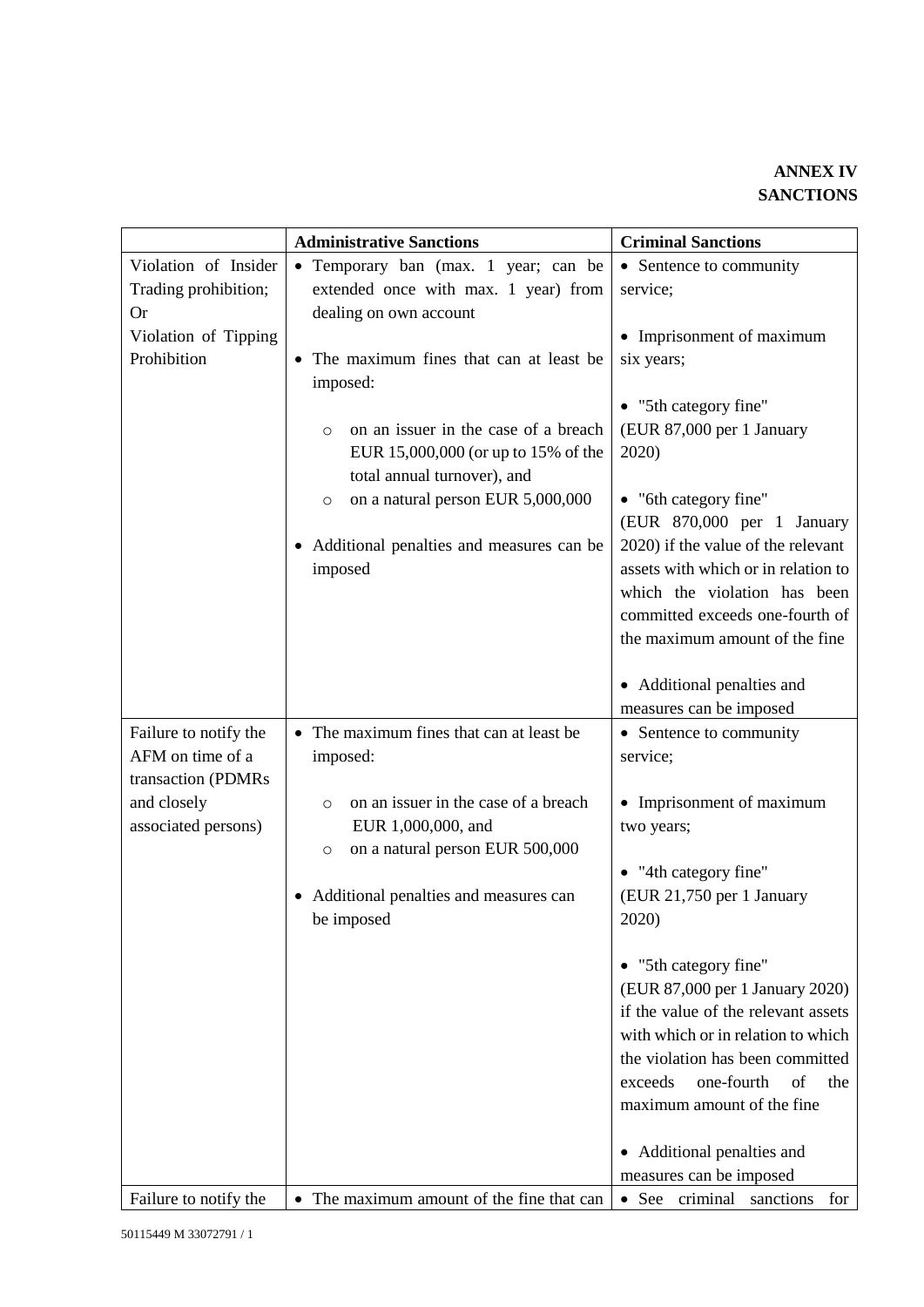|                       | <b>Administrative Sanctions</b>                 | <b>Criminal Sanctions</b>                                |
|-----------------------|-------------------------------------------------|----------------------------------------------------------|
| Violation of Insider  | • Temporary ban (max. 1 year; can be            | • Sentence to community                                  |
| Trading prohibition;  | extended once with max. 1 year) from            | service;                                                 |
| <b>Or</b>             | dealing on own account                          |                                                          |
| Violation of Tipping  |                                                 | • Imprisonment of maximum                                |
| Prohibition           | • The maximum fines that can at least be        | six years;                                               |
|                       | imposed:                                        |                                                          |
|                       |                                                 | • "5th category fine"                                    |
|                       | on an issuer in the case of a breach<br>$\circ$ | (EUR 87,000 per 1 January                                |
|                       | EUR 15,000,000 (or up to 15% of the             | 2020)                                                    |
|                       | total annual turnover), and                     |                                                          |
|                       | on a natural person EUR 5,000,000<br>$\circ$    | • "6th category fine"<br>(EUR 870,000 per 1 January      |
|                       | • Additional penalties and measures can be      | 2020) if the value of the relevant                       |
|                       | imposed                                         | assets with which or in relation to                      |
|                       |                                                 | which the violation has been                             |
|                       |                                                 | committed exceeds one-fourth of                          |
|                       |                                                 | the maximum amount of the fine                           |
|                       |                                                 |                                                          |
|                       |                                                 | • Additional penalties and                               |
|                       |                                                 | measures can be imposed                                  |
| Failure to notify the | • The maximum fines that can at least be        | • Sentence to community                                  |
| AFM on time of a      | imposed:                                        | service;                                                 |
| transaction (PDMRs    |                                                 |                                                          |
| and closely           | on an issuer in the case of a breach<br>$\circ$ | • Imprisonment of maximum                                |
| associated persons)   | EUR 1,000,000, and                              | two years;                                               |
|                       | on a natural person EUR 500,000<br>$\circ$      |                                                          |
|                       |                                                 | • "4th category fine"                                    |
|                       | • Additional penalties and measures can         | (EUR 21,750 per 1 January                                |
|                       | be imposed                                      | 2020)                                                    |
|                       |                                                 |                                                          |
|                       |                                                 | • "5th category fine"<br>(EUR 87,000 per 1 January 2020) |
|                       |                                                 | if the value of the relevant assets                      |
|                       |                                                 | with which or in relation to which                       |
|                       |                                                 | the violation has been committed                         |
|                       |                                                 | one-fourth<br>the<br>exceeds<br>of                       |
|                       |                                                 | maximum amount of the fine                               |
|                       |                                                 |                                                          |
|                       |                                                 | • Additional penalties and                               |
|                       |                                                 | measures can be imposed                                  |
| Failure to notify the | • The maximum amount of the fine that can       | • See criminal sanctions<br>for                          |